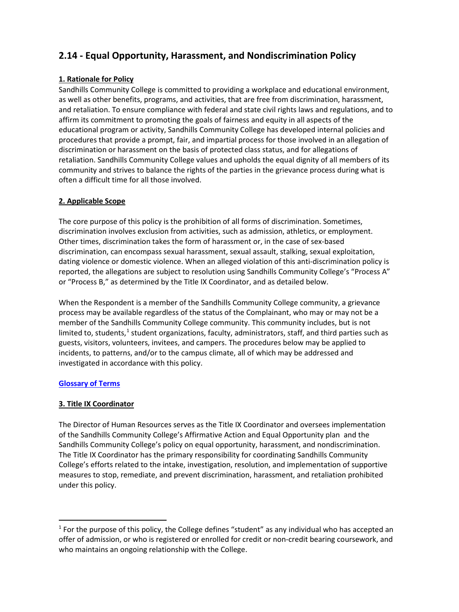# **2.14 - Equal Opportunity, Harassment, and Nondiscrimination Policy**

# **1. Rationale for Policy**

Sandhills Community College is committed to providing a workplace and educational environment, as well as other benefits, programs, and activities, that are free from discrimination, harassment, and retaliation. To ensure compliance with federal and state civil rights laws and regulations, and to affirm its commitment to promoting the goals of fairness and equity in all aspects of the educational program or activity, Sandhills Community College has developed internal policies and procedures that provide a prompt, fair, and impartial process for those involved in an allegation of discrimination or harassment on the basis of protected class status, and for allegations of retaliation. Sandhills Community College values and upholds the equal dignity of all members of its community and strives to balance the rights of the parties in the grievance process during what is often a difficult time for all those involved.

# **2. Applicable Scope**

The core purpose of this policy is the prohibition of all forms of discrimination. Sometimes, discrimination involves exclusion from activities, such as admission, athletics, or employment. Other times, discrimination takes the form of harassment or, in the case of sex-based discrimination, can encompass sexual harassment, sexual assault, stalking, sexual exploitation, dating violence or domestic violence. When an alleged violation of this anti-discrimination policy is reported, the allegations are subject to resolution using Sandhills Community College's "Process A" or "Process B," as determined by the Title IX Coordinator, and as detailed below.

When the Respondent is a member of the Sandhills Community College community, a grievance process may be available regardless of the status of the Complainant, who may or may not be a member of the Sandhills Community College community. This community includes, but is not limited to, students,<sup>[1](#page-0-0)</sup> student organizations, faculty, administrators, staff, and third parties such as guests, visitors, volunteers, invitees, and campers. The procedures below may be applied to incidents, to patterns, and/or to the campus climate, all of which may be addressed and investigated in accordance with this policy.

# **[Glossary of Terms](https://sandhillscc.sharepoint.com/:w:/s/TitleIX/Ed3N--LPm59Jpr4vwhRHb04BZPVB8edcxXBYAYq-d3m0PA?e=JgrdqY)**

# **3. Title IX Coordinator**

The Director of Human Resources serves as the Title IX Coordinator and oversees implementation of the Sandhills Community College's Affirmative Action and Equal Opportunity plan and the Sandhills Community College's policy on equal opportunity, harassment, and nondiscrimination. The Title IX Coordinator has the primary responsibility for coordinating Sandhills Community College's efforts related to the intake, investigation, resolution, and implementation of supportive measures to stop, remediate, and prevent discrimination, harassment, and retaliation prohibited under this policy.

<span id="page-0-0"></span><sup>&</sup>lt;sup>1</sup> For the purpose of this policy, the College defines "student" as any individual who has accepted an offer of admission, or who is registered or enrolled for credit or non-credit bearing coursework, and who maintains an ongoing relationship with the College.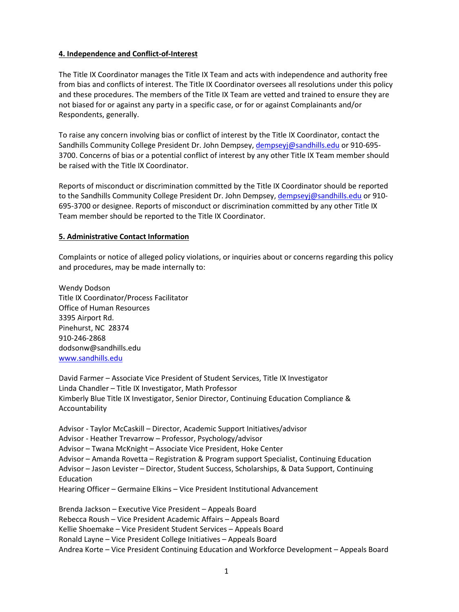### **4. Independence and Conflict-of-Interest**

The Title IX Coordinator manages the Title IX Team and acts with independence and authority free from bias and conflicts of interest. The Title IX Coordinator oversees all resolutions under this policy and these procedures. The members of the Title IX Team are vetted and trained to ensure they are not biased for or against any party in a specific case, or for or against Complainants and/or Respondents, generally.

To raise any concern involving bias or conflict of interest by the Title IX Coordinator, contact the Sandhills Community College President Dr. John Dempsey, [dempseyj@sandhills.edu](mailto:dempseyj@sandhills.edu) or 910-695-3700. Concerns of bias or a potential conflict of interest by any other Title IX Team member should be raised with the Title IX Coordinator.

Reports of misconduct or discrimination committed by the Title IX Coordinator should be reported to the Sandhills Community College President Dr. John Dempsey[, dempseyj@sandhills.edu](mailto:dempseyj@sandhills.edu) or 910-695-3700 or designee. Reports of misconduct or discrimination committed by any other Title IX Team member should be reported to the Title IX Coordinator.

### **5. Administrative Contact Information**

Complaints or notice of alleged policy violations, or inquiries about or concerns regarding this policy and procedures, may be made internally to:

Wendy Dodson Title IX Coordinator/Process Facilitator Office of Human Resources 3395 Airport Rd. Pinehurst, NC 28374 910-246-2868 dodsonw@sandhills.edu [www.sandhills.edu](http://www.sandhills.edu/)

David Farmer – Associate Vice President of Student Services, Title IX Investigator Linda Chandler – Title IX Investigator, Math Professor Kimberly Blue Title IX Investigator, Senior Director, Continuing Education Compliance & Accountability

Advisor - Taylor McCaskill – Director, Academic Support Initiatives/advisor Advisor - Heather Trevarrow – Professor, Psychology/advisor Advisor – Twana McKnight – Associate Vice President, Hoke Center Advisor – Amanda Rovetta – Registration & Program support Specialist, Continuing Education Advisor – Jason Levister – Director, Student Success, Scholarships, & Data Support, Continuing Education Hearing Officer – Germaine Elkins – Vice President Institutional Advancement

Brenda Jackson – Executive Vice President – Appeals Board Rebecca Roush – Vice President Academic Affairs – Appeals Board Kellie Shoemake – Vice President Student Services – Appeals Board Ronald Layne – Vice President College Initiatives – Appeals Board Andrea Korte – Vice President Continuing Education and Workforce Development – Appeals Board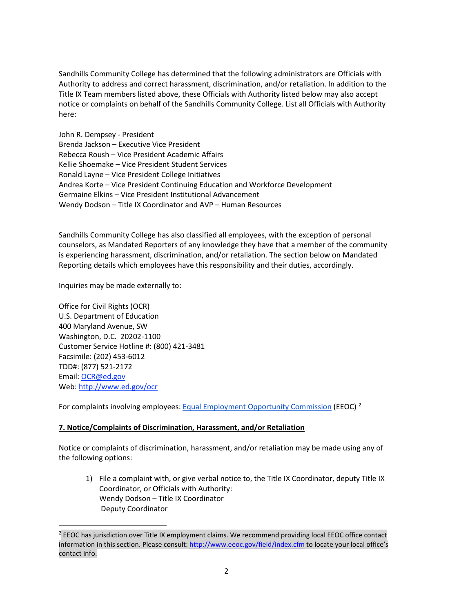Sandhills Community College has determined that the following administrators are Officials with Authority to address and correct harassment, discrimination, and/or retaliation. In addition to the Title IX Team members listed above, these Officials with Authority listed below may also accept notice or complaints on behalf of the Sandhills Community College. List all Officials with Authority here:

John R. Dempsey - President Brenda Jackson – Executive Vice President Rebecca Roush – Vice President Academic Affairs Kellie Shoemake – Vice President Student Services Ronald Layne – Vice President College Initiatives Andrea Korte – Vice President Continuing Education and Workforce Development Germaine Elkins – Vice President Institutional Advancement Wendy Dodson – Title IX Coordinator and AVP – Human Resources

Sandhills Community College has also classified all employees, with the exception of personal counselors, as Mandated Reporters of any knowledge they have that a member of the community is experiencing harassment, discrimination, and/or retaliation. The section below on Mandated Reporting details which employees have this responsibility and their duties, accordingly.

Inquiries may be made externally to:

Office for Civil Rights (OCR) U.S. Department of Education 400 Maryland Avenue, SW Washington, D.C. 20202-1100 Customer Service Hotline #: (800) 421-3481 Facsimile: (202) 453-6012 TDD#: (877) 521-2172 Email: [OCR@ed.gov](mailto:OCR@ed.gov) Web: [http://www.ed.gov/ocr](http://www2.ed.gov/about/offices/list/ocr/index.html)

For complaints involving employees[: Equal](http://www.eeoc.gov/contact/) [Employment Opportunity Commission](http://www.eeoc.gov/contact/) (EEOC)  $^2$  $^2$ 

# **7. Notice/Complaints of Discrimination, Harassment, and/or Retaliation**

Notice or complaints of discrimination, harassment, and/or retaliation may be made using any of the following options:

1) File a complaint with, or give verbal notice to, the Title IX Coordinator, deputy Title IX Coordinator, or Officials with Authority: Wendy Dodson – Title IX Coordinator Deputy Coordinator

<span id="page-2-0"></span><sup>&</sup>lt;sup>2</sup> EEOC has jurisdiction over Title IX employment claims. We recommend providing local EEOC office contact information in this section. Please consult:<http://www.eeoc.gov/field/index.cfm> to locate your local office's contact info.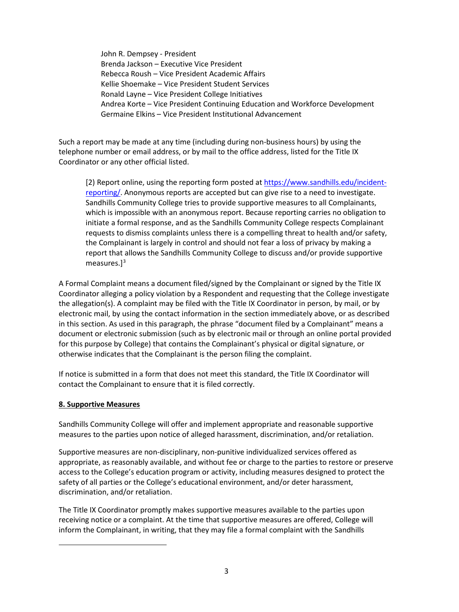John R. Dempsey - President Brenda Jackson – Executive Vice President Rebecca Roush – Vice President Academic Affairs Kellie Shoemake – Vice President Student Services Ronald Layne – Vice President College Initiatives Andrea Korte – Vice President Continuing Education and Workforce Development Germaine Elkins – Vice President Institutional Advancement

Such a report may be made at any time (including during non-business hours) by using the telephone number or email address, or by mail to the office address, listed for the Title IX Coordinator or any other official listed.

[2] Report online, using the reporting form posted at [https://www.sandhills.edu/incident](https://www.sandhills.edu/incident-reporting/)[reporting/.](https://www.sandhills.edu/incident-reporting/) Anonymous reports are accepted but can give rise to a need to investigate. Sandhills Community College tries to provide supportive measures to all Complainants, which is impossible with an anonymous report. Because reporting carries no obligation to initiate a formal response, and as the Sandhills Community College respects Complainant requests to dismiss complaints unless there is a compelling threat to health and/or safety, the Complainant is largely in control and should not fear a loss of privacy by making a report that allows the Sandhills Community College to discuss and/or provide supportive measures.]<sup>[3](#page-3-0)</sup>

A Formal Complaint means a document filed/signed by the Complainant or signed by the Title IX Coordinator alleging a policy violation by a Respondent and requesting that the College investigate the allegation(s). A complaint may be filed with the Title IX Coordinator in person, by mail, or by electronic mail, by using the contact information in the section immediately above, or as described in this section. As used in this paragraph, the phrase "document filed by a Complainant" means a document or electronic submission (such as by electronic mail or through an online portal provided for this purpose by College) that contains the Complainant's physical or digital signature, or otherwise indicates that the Complainant is the person filing the complaint.

If notice is submitted in a form that does not meet this standard, the Title IX Coordinator will contact the Complainant to ensure that it is filed correctly.

# **8. Supportive Measures**

Sandhills Community College will offer and implement appropriate and reasonable supportive measures to the parties upon notice of alleged harassment, discrimination, and/or retaliation.

Supportive measures are non-disciplinary, non-punitive individualized services offered as appropriate, as reasonably available, and without fee or charge to the parties to restore or preserve access to the College's education program or activity, including measures designed to protect the safety of all parties or the College's educational environment, and/or deter harassment, discrimination, and/or retaliation.

<span id="page-3-0"></span>The Title IX Coordinator promptly makes supportive measures available to the parties upon receiving notice or a complaint. At the time that supportive measures are offered, College will inform the Complainant, in writing, that they may file a formal complaint with the Sandhills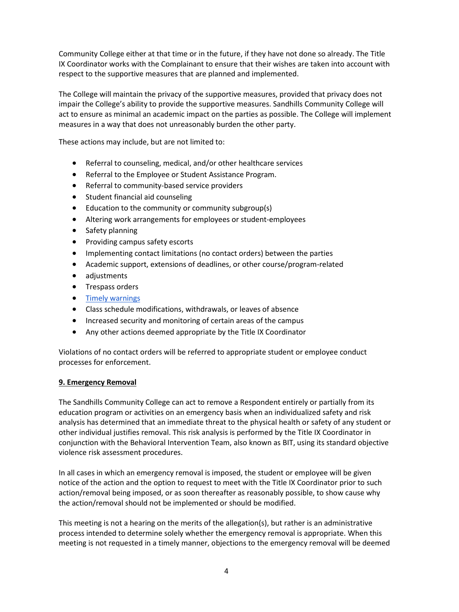Community College either at that time or in the future, if they have not done so already. The Title IX Coordinator works with the Complainant to ensure that their wishes are taken into account with respect to the supportive measures that are planned and implemented.

The College will maintain the privacy of the supportive measures, provided that privacy does not impair the College's ability to provide the supportive measures. Sandhills Community College will act to ensure as minimal an academic impact on the parties as possible. The College will implement measures in a way that does not unreasonably burden the other party.

These actions may include, but are not limited to:

- Referral to counseling, medical, and/or other healthcare services
- Referral to the Employee or Student Assistance Program.
- Referral to community-based service providers
- Student financial aid counseling
- Education to the community or community subgroup(s)
- Altering work arrangements for employees or student-employees
- Safety planning
- Providing campus safety escorts
- Implementing contact limitations (no contact orders) between the parties
- Academic support, extensions of deadlines, or other course/program-related
- adjustments
- Trespass orders
- [Timely warnings](http://ncsam.clerycenter.org/wp-content/uploads/NCSAM18_Timely-Warning-Guide.pdf)
- Class schedule modifications, withdrawals, or leaves of absence
- Increased security and monitoring of certain areas of the campus
- Any other actions deemed appropriate by the Title IX Coordinator

Violations of no contact orders will be referred to appropriate student or employee conduct processes for enforcement.

### **9. Emergency Removal**

The Sandhills Community College can act to remove a Respondent entirely or partially from its education program or activities on an emergency basis when an individualized safety and risk analysis has determined that an immediate threat to the physical health or safety of any student or other individual justifies removal. This risk analysis is performed by the Title IX Coordinator in conjunction with the Behavioral Intervention Team, also known as BIT, using its standard objective violence risk assessment procedures.

In all cases in which an emergency removal is imposed, the student or employee will be given notice of the action and the option to request to meet with the Title IX Coordinator prior to such action/removal being imposed, or as soon thereafter as reasonably possible, to show cause why the action/removal should not be implemented or should be modified.

This meeting is not a hearing on the merits of the allegation(s), but rather is an administrative process intended to determine solely whether the emergency removal is appropriate. When this meeting is not requested in a timely manner, objections to the emergency removal will be deemed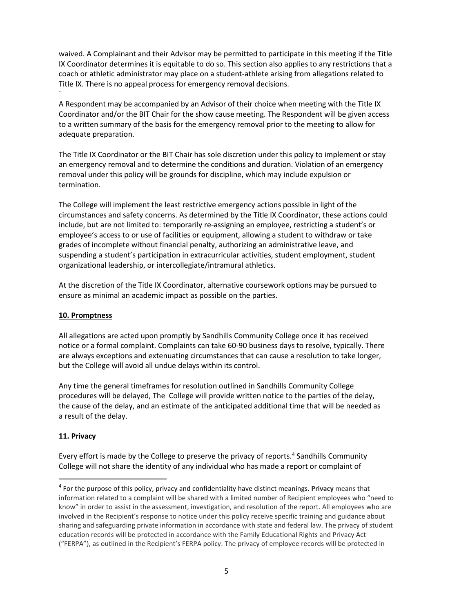waived. A Complainant and their Advisor may be permitted to participate in this meeting if the Title IX Coordinator determines it is equitable to do so. This section also applies to any restrictions that a coach or athletic administrator may place on a student-athlete arising from allegations related to Title IX. There is no appeal process for emergency removal decisions.

A Respondent may be accompanied by an Advisor of their choice when meeting with the Title IX Coordinator and/or the BIT Chair for the show cause meeting. The Respondent will be given access to a written summary of the basis for the emergency removal prior to the meeting to allow for adequate preparation.

The Title IX Coordinator or the BIT Chair has sole discretion under this policy to implement or stay an emergency removal and to determine the conditions and duration. Violation of an emergency removal under this policy will be grounds for discipline, which may include expulsion or termination.

The College will implement the least restrictive emergency actions possible in light of the circumstances and safety concerns. As determined by the Title IX Coordinator, these actions could include, but are not limited to: temporarily re-assigning an employee, restricting a student's or employee's access to or use of facilities or equipment, allowing a student to withdraw or take grades of incomplete without financial penalty, authorizing an administrative leave, and suspending a student's participation in extracurricular activities, student employment, student organizational leadership, or intercollegiate/intramural athletics.

At the discretion of the Title IX Coordinator, alternative coursework options may be pursued to ensure as minimal an academic impact as possible on the parties.

# **10. Promptness**

`

All allegations are acted upon promptly by Sandhills Community College once it has received notice or a formal complaint. Complaints can take 60-90 business days to resolve, typically. There are always exceptions and extenuating circumstances that can cause a resolution to take longer, but the College will avoid all undue delays within its control.

Any time the general timeframes for resolution outlined in Sandhills Community College procedures will be delayed, The College will provide written notice to the parties of the delay, the cause of the delay, and an estimate of the anticipated additional time that will be needed as a result of the delay.

# **11. Privacy**

Every effort is made by the College to preserve the privacy of reports.<sup>[4](#page-5-0)</sup> Sandhills Community College will not share the identity of any individual who has made a report or complaint of

<span id="page-5-0"></span><sup>4</sup> For the purpose of this policy, privacy and confidentiality have distinct meanings. **Privacy** means that information related to a complaint will be shared with a limited number of Recipient employees who "need to know" in order to assist in the assessment, investigation, and resolution of the report. All employees who are involved in the Recipient's response to notice under this policy receive specific training and guidance about sharing and safeguarding private information in accordance with state and federal law. The privacy of student education records will be protected in accordance with the Family Educational Rights and Privacy Act ("FERPA"), as outlined in the Recipient's FERPA policy. The privacy of employee records will be protected in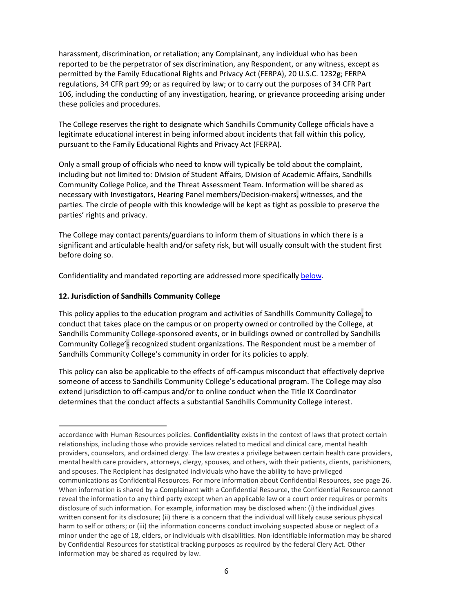harassment, discrimination, or retaliation; any Complainant, any individual who has been reported to be the perpetrator of sex discrimination, any Respondent, or any witness, except as permitted by the Family Educational Rights and Privacy Act (FERPA), 20 U.S.C. 1232g; FERPA regulations, 34 CFR part 99; or as required by law; or to carry out the purposes of 34 CFR Part 106, including the conducting of any investigation, hearing, or grievance proceeding arising under these policies and procedures.

The College reserves the right to designate which Sandhills Community College officials have a legitimate educational interest in being informed about incidents that fall within this policy, pursuant to the Family Educational Rights and Privacy Act (FERPA).

Only a small group of officials who need to know will typically be told about the complaint, including but not limited to: Division of Student Affairs, Division of Academic Affairs, Sandhills Community College Police, and the Threat Assessment Team. Information will be shared as necessary with Investigators, Hearing Panel members/Decision-makers, witnesses, and the parties. The circle of people with this knowledge will be kept as tight as possible to preserve the parties' rights and privacy.

The College may contact parents/guardians to inform them of situations in which there is a significant and articulable health and/or safety risk, but will usually consult with the student first before doing so.

Confidentiality and mandated reporting are addressed more specifically [below.](#page-19-0)

### **12. Jurisdiction of Sandhills Community College**

This policy applies to the education program and activities of Sandhills Community College, to conduct that takes place on the campus or on property owned or controlled by the College, at Sandhills Community College-sponsored events, or in buildings owned or controlled by Sandhills Community College's recognized student organizations. The Respondent must be a member of Sandhills Community College's community in order for its policies to apply.

This policy can also be applicable to the effects of off-campus misconduct that effectively deprive someone of access to Sandhills Community College's educational program. The College may also extend jurisdiction to off-campus and/or to online conduct when the Title IX Coordinator determines that the conduct affects a substantial Sandhills Community College interest.

accordance with Human Resources policies. **Confidentiality** exists in the context of laws that protect certain relationships, including those who provide services related to medical and clinical care, mental health providers, counselors, and ordained clergy. The law creates a privilege between certain health care providers, mental health care providers, attorneys, clergy, spouses, and others, with their patients, clients, parishioners, and spouses. The Recipient has designated individuals who have the ability to have privileged communications as Confidential Resources. For more information about Confidential Resources, see page 26. When information is shared by a Complainant with a Confidential Resource, the Confidential Resource cannot reveal the information to any third party except when an applicable law or a court order requires or permits disclosure of such information. For example, information may be disclosed when: (i) the individual gives written consent for its disclosure; (ii) there is a concern that the individual will likely cause serious physical harm to self or others; or (iii) the information concerns conduct involving suspected abuse or neglect of a minor under the age of 18, elders, or individuals with disabilities. Non-identifiable information may be shared by Confidential Resources for statistical tracking purposes as required by the federal Clery Act. Other information may be shared as required by law.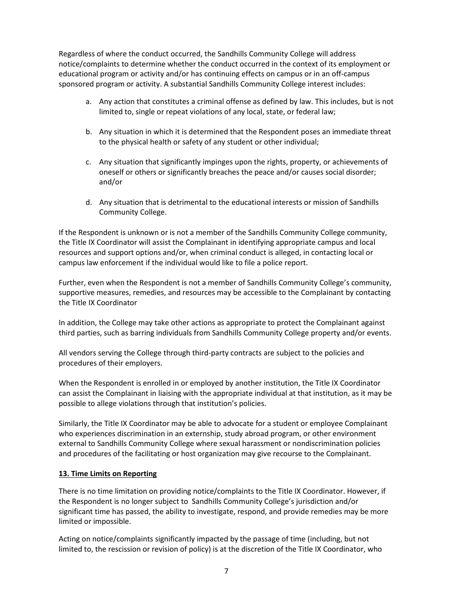Regardless of where the conduct occurred, the Sandhills Community College will address notice/complaints to determine whether the conduct occurred in the context of its employment or educational program or activity and/or has continuing effects on campus or in an off-campus sponsored program or activity. A substantial Sandhills Community College interest includes:

- a. Any action that constitutes a criminal offense as defined by law. This includes, but is not limited to, single or repeat violations of any local, state, or federal law;
- b. Any situation in which it is determined that the Respondent poses an immediate threat to the physical health or safety of any student or other individual;
- c. Any situation that significantly impinges upon the rights, property, or achievements of oneself or others or significantly breaches the peace and/or causes social disorder; and/or
- d. Any situation that is detrimental to the educational interests or mission of Sandhills Community College.

If the Respondent is unknown or is not a member of the Sandhills Community College community, the Title IX Coordinator will assist the Complainant in identifying appropriate campus and local resources and support options and/or, when criminal conduct is alleged, in contacting local or campus law enforcement if the individual would like to file a police report.

Further, even when the Respondent is not a member of Sandhills Community College's community, supportive measures, remedies, and resources may be accessible to the Complainant by contacting the Title IX Coordinator

In addition, the College may take other actions as appropriate to protect the Complainant against third parties, such as barring individuals from Sandhills Community College property and/or events.

All vendors serving the College through third-party contracts are subject to the policies and procedures of their employers.

When the Respondent is enrolled in or employed by another institution, the Title IX Coordinator can assist the Complainant in liaising with the appropriate individual at that institution, as it may be possible to allege violations through that institution's policies.

Similarly, the Title IX Coordinator may be able to advocate for a student or employee Complainant who experiences discrimination in an externship, study abroad program, or other environment external to Sandhills Community College where sexual harassment or nondiscrimination policies and procedures of the facilitating or host organization may give recourse to the Complainant.

# **13. Time Limits on Reporting**

There is no time limitation on providing notice/complaints to the Title IX Coordinator. However, if the Respondent is no longer subject to Sandhills Community College's jurisdiction and/or significant time has passed, the ability to investigate, respond, and provide remedies may be more limited or impossible.

Acting on notice/complaints significantly impacted by the passage of time (including, but not limited to, the rescission or revision of policy) is at the discretion of the Title IX Coordinator, who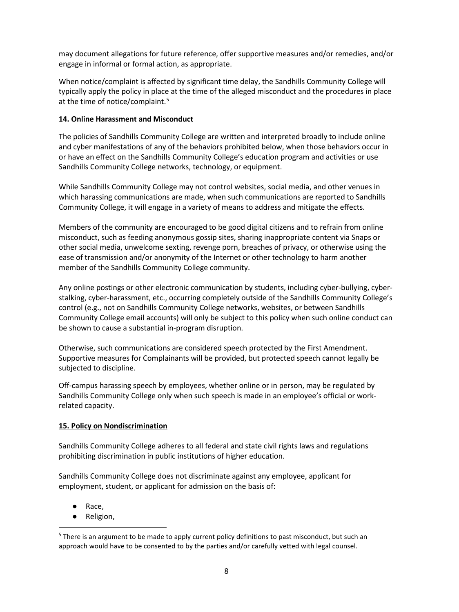may document allegations for future reference, offer supportive measures and/or remedies, and/or engage in informal or formal action, as appropriate.

When notice/complaint is affected by significant time delay, the Sandhills Community College will typically apply the policy in place at the time of the alleged misconduct and the procedures in place at the time of notice/complaint.<sup>[5](#page-8-0)</sup>

### **14. Online Harassment and Misconduct**

The policies of Sandhills Community College are written and interpreted broadly to include online and cyber manifestations of any of the behaviors prohibited below, when those behaviors occur in or have an effect on the Sandhills Community College's education program and activities or use Sandhills Community College networks, technology, or equipment.

While Sandhills Community College may not control websites, social media, and other venues in which harassing communications are made, when such communications are reported to Sandhills Community College, it will engage in a variety of means to address and mitigate the effects.

Members of the community are encouraged to be good digital citizens and to refrain from online misconduct, such as feeding anonymous gossip sites, sharing inappropriate content via Snaps or other social media, unwelcome sexting, revenge porn, breaches of privacy, or otherwise using the ease of transmission and/or anonymity of the Internet or other technology to harm another member of the Sandhills Community College community.

Any online postings or other electronic communication by students, including cyber-bullying, cyberstalking, cyber-harassment, etc., occurring completely outside of the Sandhills Community College's control (e.g., not on Sandhills Community College networks, websites, or between Sandhills Community College email accounts) will only be subject to this policy when such online conduct can be shown to cause a substantial in-program disruption.

Otherwise, such communications are considered speech protected by the First Amendment. Supportive measures for Complainants will be provided, but protected speech cannot legally be subjected to discipline.

Off-campus harassing speech by employees, whether online or in person, may be regulated by Sandhills Community College only when such speech is made in an employee's official or workrelated capacity.

### **15. Policy on Nondiscrimination**

Sandhills Community College adheres to all federal and state civil rights laws and regulations prohibiting discrimination in public institutions of higher education.

Sandhills Community College does not discriminate against any employee, applicant for employment, student, or applicant for admission on the basis of:

- Race,
- Religion,

<span id="page-8-0"></span><sup>&</sup>lt;sup>5</sup> There is an argument to be made to apply current policy definitions to past misconduct, but such an approach would have to be consented to by the parties and/or carefully vetted with legal counsel.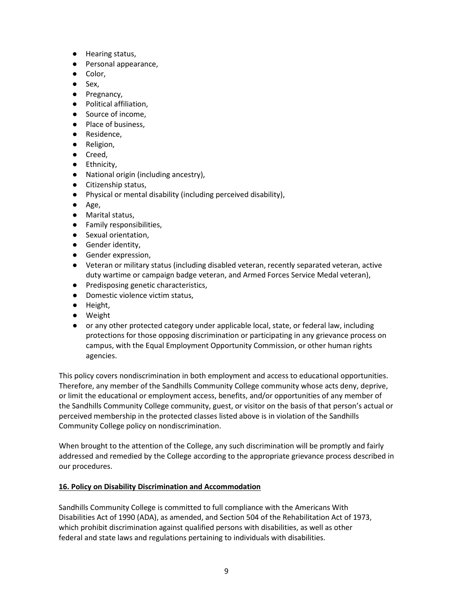- Hearing status,
- Personal appearance,
- Color,
- Sex,
- Pregnancy,
- Political affiliation.
- Source of income.
- Place of business,
- Residence,
- Religion,
- Creed,
- Ethnicity,
- National origin (including ancestry),
- Citizenship status,
- Physical or mental disability (including perceived disability),
- Age,
- Marital status,
- Family responsibilities,
- Sexual orientation,
- Gender identity,
- Gender expression,
- Veteran or military status (including disabled veteran, recently separated veteran, active duty wartime or campaign badge veteran, and Armed Forces Service Medal veteran),
- Predisposing genetic characteristics,
- Domestic violence victim status,
- Height,
- Weight
- or any other protected category under applicable local, state, or federal law, including protections for those opposing discrimination or participating in any grievance process on campus, with the Equal Employment Opportunity Commission, or other human rights agencies.

This policy covers nondiscrimination in both employment and access to educational opportunities. Therefore, any member of the Sandhills Community College community whose acts deny, deprive, or limit the educational or employment access, benefits, and/or opportunities of any member of the Sandhills Community College community, guest, or visitor on the basis of that person's actual or perceived membership in the protected classes listed above is in violation of the Sandhills Community College policy on nondiscrimination.

When brought to the attention of the College, any such discrimination will be promptly and fairly addressed and remedied by the College according to the appropriate grievance process described in our procedures.

# **16. Policy on Disability Discrimination and Accommodation**

Sandhills Community College is committed to full compliance with the Americans With Disabilities Act of 1990 (ADA), as amended, and Section 504 of the Rehabilitation Act of 1973, which prohibit discrimination against qualified persons with disabilities, as well as other federal and state laws and regulations pertaining to individuals with disabilities.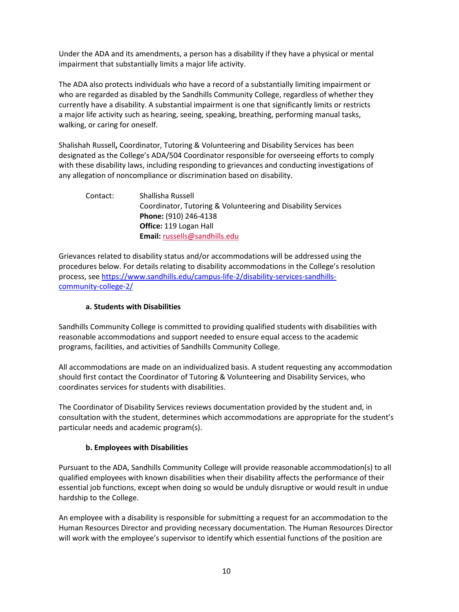Under the ADA and its amendments, a person has a disability if they have a physical or mental impairment that substantially limits a major life activity.

The ADA also protects individuals who have a record of a substantially limiting impairment or who are regarded as disabled by the Sandhills Community College, regardless of whether they currently have a disability. A substantial impairment is one that significantly limits or restricts a major life activity such as hearing, seeing, speaking, breathing, performing manual tasks, walking, or caring for oneself.

Shalishah Russell**,** Coordinator, Tutoring & Volunteering and Disability Services has been designated as the College's ADA/504 Coordinator responsible for overseeing efforts to comply with these disability laws, including responding to grievances and conducting investigations of any allegation of noncompliance or discrimination based on disability.

| Contact: | Shallisha Russell                                            |
|----------|--------------------------------------------------------------|
|          | Coordinator, Tutoring & Volunteering and Disability Services |
|          | <b>Phone: (910) 246-4138</b>                                 |
|          | <b>Office: 119 Logan Hall</b>                                |
|          | <b>Email:</b> russells@sandhills.edu                         |

Grievances related to disability status and/or accommodations will be addressed using the procedures below. For details relating to disability accommodations in the College's resolution process, see [https://www.sandhills.edu/campus-life-2/disability-services-sandhills](https://www.sandhills.edu/campus-life-2/disability-services-sandhills-community-college-2/)[community-college-2/](https://www.sandhills.edu/campus-life-2/disability-services-sandhills-community-college-2/)

# **a. Students with Disabilities**

Sandhills Community College is committed to providing qualified students with disabilities with reasonable accommodations and support needed to ensure equal access to the academic programs, facilities, and activities of Sandhills Community College.

All accommodations are made on an individualized basis. A student requesting any accommodation should first contact the Coordinator of Tutoring & Volunteering and Disability Services, who coordinates services for students with disabilities.

The Coordinator of Disability Services reviews documentation provided by the student and, in consultation with the student, determines which accommodations are appropriate for the student's particular needs and academic program(s).

# **b. Employees with Disabilities**

Pursuant to the ADA, Sandhills Community College will provide reasonable accommodation(s) to all qualified employees with known disabilities when their disability affects the performance of their essential job functions, except when doing so would be unduly disruptive or would result in undue hardship to the College.

An employee with a disability is responsible for submitting a request for an accommodation to the Human Resources Director and providing necessary documentation. The Human Resources Director will work with the employee's supervisor to identify which essential functions of the position are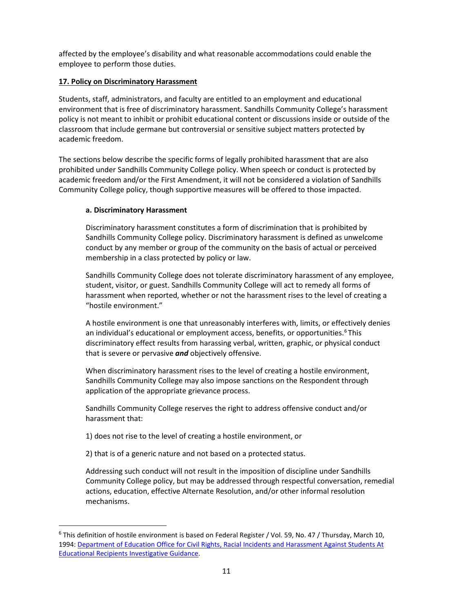affected by the employee's disability and what reasonable accommodations could enable the employee to perform those duties.

# **17. Policy on Discriminatory Harassment**

Students, staff, administrators, and faculty are entitled to an employment and educational environment that is free of discriminatory harassment. Sandhills Community College's harassment policy is not meant to inhibit or prohibit educational content or discussions inside or outside of the classroom that include germane but controversial or sensitive subject matters protected by academic freedom.

The sections below describe the specific forms of legally prohibited harassment that are also prohibited under Sandhills Community College policy. When speech or conduct is protected by academic freedom and/or the First Amendment, it will not be considered a violation of Sandhills Community College policy, though supportive measures will be offered to those impacted.

# **a. Discriminatory Harassment**

Discriminatory harassment constitutes a form of discrimination that is prohibited by Sandhills Community College policy. Discriminatory harassment is defined as unwelcome conduct by any member or group of the community on the basis of actual or perceived membership in a class protected by policy or law.

Sandhills Community College does not tolerate discriminatory harassment of any employee, student, visitor, or guest. Sandhills Community College will act to remedy all forms of harassment when reported, whether or not the harassment rises to the level of creating a "hostile environment."

A hostile environment is one that unreasonably interferes with, limits, or effectively denies an individual's educational or employment access, benefits, or opportunities.<sup>[6](#page-11-0)</sup> This discriminatory effect results from harassing verbal, written, graphic, or physical conduct that is severe or pervasive *and* objectively offensive.

When discriminatory harassment rises to the level of creating a hostile environment, Sandhills Community College may also impose sanctions on the Respondent through application of the appropriate grievance process.

Sandhills Community College reserves the right to address offensive conduct and/or harassment that:

1) does not rise to the level of creating a hostile environment, or

2) that is of a generic nature and not based on a protected status.

Addressing such conduct will not result in the imposition of discipline under Sandhills Community College policy, but may be addressed through respectful conversation, remedial actions, education, effective Alternate Resolution, and/or other informal resolution mechanisms.

<span id="page-11-0"></span> $6$  This definition of hostile environment is based on Federal Register / Vol. 59, No. 47 / Thursday, March 10, 1994: Department of Education Office for Civil Rights, Racial Incidents and Harassment Against Students At [Educational Recipients Investigative Guidance.](http://www.ed.gov/about/offices/list/ocr/docs/race394.html.)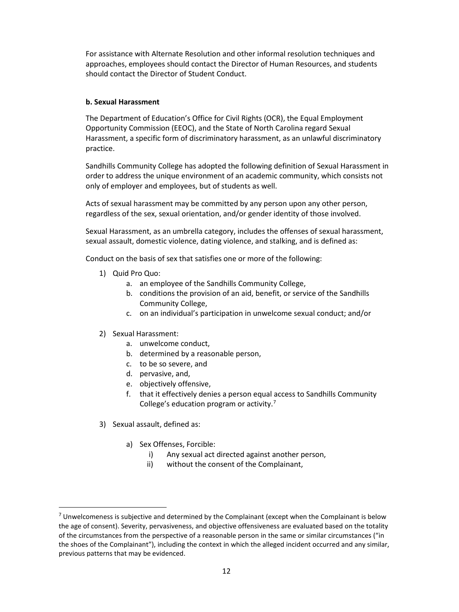For assistance with Alternate Resolution and other informal resolution techniques and approaches, employees should contact the Director of Human Resources, and students should contact the Director of Student Conduct.

### **b. Sexual Harassment**

The Department of Education's Office for Civil Rights (OCR), the Equal Employment Opportunity Commission (EEOC), and the State of North Carolina regard Sexual Harassment, a specific form of discriminatory harassment, as an unlawful discriminatory practice.

Sandhills Community College has adopted the following definition of Sexual Harassment in order to address the unique environment of an academic community, which consists not only of employer and employees, but of students as well.

Acts of sexual harassment may be committed by any person upon any other person, regardless of the sex, sexual orientation, and/or gender identity of those involved.

Sexual Harassment, as an umbrella category, includes the offenses of sexual harassment, sexual assault, domestic violence, dating violence, and stalking, and is defined as:

Conduct on the basis of sex that satisfies one or more of the following:

- 1) Quid Pro Quo:
	- a. an employee of the Sandhills Community College,
	- b. conditions the provision of an aid, benefit, or service of the Sandhills Community College,
	- c. on an individual's participation in unwelcome sexual conduct; and/or
- 2) Sexual Harassment:
	- a. unwelcome conduct,
	- b. determined by a reasonable person,
	- c. to be so severe, and
	- d. pervasive, and,
	- e. objectively offensive,
	- f. that it effectively denies a person equal access to Sandhills Community College's education program or activity.[7](#page-12-0)
- 3) Sexual assault, defined as:
	- a) Sex Offenses, Forcible:
		- i) Any sexual act directed against another person,
		- ii) without the consent of the Complainant,

<span id="page-12-0"></span> $7$  Unwelcomeness is subjective and determined by the Complainant (except when the Complainant is below the age of consent). Severity, pervasiveness, and objective offensiveness are evaluated based on the totality of the circumstances from the perspective of a reasonable person in the same or similar circumstances ("in the shoes of the Complainant"), including the context in which the alleged incident occurred and any similar, previous patterns that may be evidenced.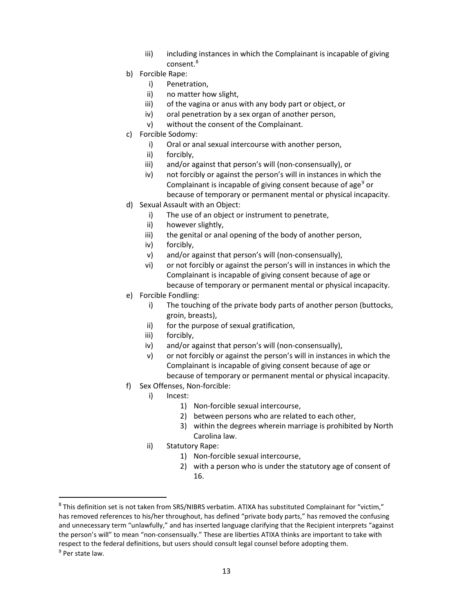- iii) including instances in which the Complainant is incapable of giving consent.[8](#page-13-0)
- b) Forcible Rape:
	- i) Penetration,
	- ii) no matter how slight,
	- iii) of the vagina or anus with any body part or object, or
	- iv) oral penetration by a sex organ of another person,
	- v) without the consent of the Complainant.
- c) Forcible Sodomy:
	- i) Oral or anal sexual intercourse with another person,
	- ii) forcibly,
	- iii) and/or against that person's will (non-consensually), or
	- iv) not forcibly or against the person's will in instances in which the Complainant is incapable of giving consent because of age<sup>[9](#page-13-1)</sup> or because of temporary or permanent mental or physical incapacity.
- d) Sexual Assault with an Object:
	- i) The use of an object or instrument to penetrate,
	- ii) however slightly,
	- iii) the genital or anal opening of the body of another person,
	- iv) forcibly,
	- v) and/or against that person's will (non-consensually),
	- vi) or not forcibly or against the person's will in instances in which the Complainant is incapable of giving consent because of age or because of temporary or permanent mental or physical incapacity.
- e) Forcible Fondling:
	- i) The touching of the private body parts of another person (buttocks, groin, breasts),
	- ii) for the purpose of sexual gratification,
	- iii) forcibly,
	- iv) and/or against that person's will (non-consensually),
	- v) or not forcibly or against the person's will in instances in which the Complainant is incapable of giving consent because of age or because of temporary or permanent mental or physical incapacity.
- f) Sex Offenses, Non-forcible:
	- i) Incest:
		- 1) Non-forcible sexual intercourse,
		- 2) between persons who are related to each other,
		- 3) within the degrees wherein marriage is prohibited by North Carolina law.
	- ii) Statutory Rape:
		- 1) Non-forcible sexual intercourse,
			- 2) with a person who is under the statutory age of consent of 16.

<span id="page-13-0"></span><sup>&</sup>lt;sup>8</sup> This definition set is not taken from SRS/NIBRS verbatim. ATIXA has substituted Complainant for "victim," has removed references to his/her throughout, has defined "private body parts," has removed the confusing and unnecessary term "unlawfully," and has inserted language clarifying that the Recipient interprets "against the person's will" to mean "non-consensually." These are liberties ATIXA thinks are important to take with respect to the federal definitions, but users should consult legal counsel before adopting them.

<span id="page-13-1"></span> $9$  Per state law.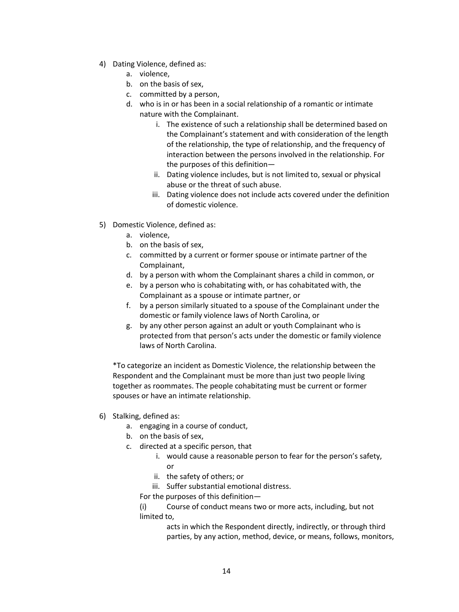- 4) Dating Violence, defined as:
	- a. violence,
	- b. on the basis of sex,
	- c. committed by a person,
	- d. who is in or has been in a social relationship of a romantic or intimate nature with the Complainant.
		- i. The existence of such a relationship shall be determined based on the Complainant's statement and with consideration of the length of the relationship, the type of relationship, and the frequency of interaction between the persons involved in the relationship. For the purposes of this definition—
		- ii. Dating violence includes, but is not limited to, sexual or physical abuse or the threat of such abuse.
		- iii. Dating violence does not include acts covered under the definition of domestic violence.
- 5) Domestic Violence, defined as:
	- a. violence,
	- b. on the basis of sex,
	- c. committed by a current or former spouse or intimate partner of the Complainant,
	- d. by a person with whom the Complainant shares a child in common, or
	- e. by a person who is cohabitating with, or has cohabitated with, the Complainant as a spouse or intimate partner, or
	- f. by a person similarly situated to a spouse of the Complainant under the domestic or family violence laws of North Carolina, or
	- g. by any other person against an adult or youth Complainant who is protected from that person's acts under the domestic or family violence laws of North Carolina.

\*To categorize an incident as Domestic Violence, the relationship between the Respondent and the Complainant must be more than just two people living together as roommates. The people cohabitating must be current or former spouses or have an intimate relationship.

- 6) Stalking, defined as:
	- a. engaging in a course of conduct,
	- b. on the basis of sex,
	- c. directed at a specific person, that
		- i. would cause a reasonable person to fear for the person's safety, or
		- ii. the safety of others; or
		- iii. Suffer substantial emotional distress.

For the purposes of this definition—

(i) Course of conduct means two or more acts, including, but not limited to,

> acts in which the Respondent directly, indirectly, or through third parties, by any action, method, device, or means, follows, monitors,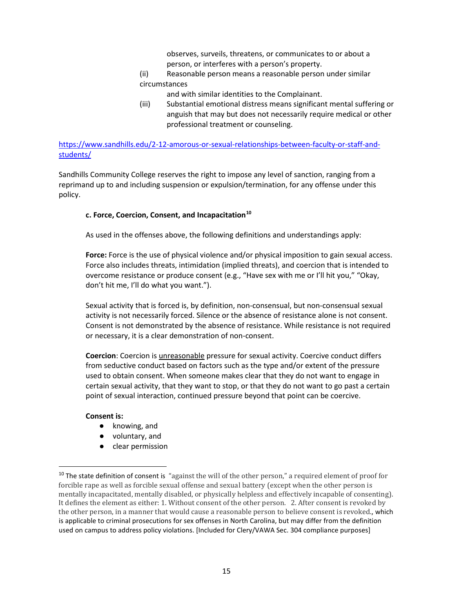observes, surveils, threatens, or communicates to or about a person, or interferes with a person's property.

(ii) Reasonable person means a reasonable person under similar circumstances

- and with similar identities to the Complainant.
- (iii) Substantial emotional distress means significant mental suffering or anguish that may but does not necessarily require medical or other professional treatment or counseling.

[https://www.sandhills.edu/2-12-amorous-or-sexual-relationships-between-faculty-or-staff-and](https://www.sandhills.edu/2-12-amorous-or-sexual-relationships-between-faculty-or-staff-and-students/)[students/](https://www.sandhills.edu/2-12-amorous-or-sexual-relationships-between-faculty-or-staff-and-students/)

Sandhills Community College reserves the right to impose any level of sanction, ranging from a reprimand up to and including suspension or expulsion/termination, for any offense under this policy.

### **c. Force, Coercion, Consent, and Incapacitation[10](#page-15-0)**

As used in the offenses above, the following definitions and understandings apply:

**Force:** Force is the use of physical violence and/or physical imposition to gain sexual access. Force also includes threats, intimidation (implied threats), and coercion that is intended to overcome resistance or produce consent (e.g., "Have sex with me or I'll hit you," "Okay, don't hit me, I'll do what you want.").

Sexual activity that is forced is, by definition, non-consensual, but non-consensual sexual activity is not necessarily forced. Silence or the absence of resistance alone is not consent. Consent is not demonstrated by the absence of resistance. While resistance is not required or necessary, it is a clear demonstration of non-consent.

**Coercion**: Coercion is unreasonable pressure for sexual activity. Coercive conduct differs from seductive conduct based on factors such as the type and/or extent of the pressure used to obtain consent. When someone makes clear that they do not want to engage in certain sexual activity, that they want to stop, or that they do not want to go past a certain point of sexual interaction, continued pressure beyond that point can be coercive.

### **Consent is:**

- knowing, and
- voluntary, and
- clear permission

<span id="page-15-0"></span> $10$  The state definition of consent is "against the will of the other person," a required element of proof for forcible rape as well as forcible sexual offense and sexual battery (except when the other person is mentally incapacitated, mentally disabled, or physically helpless and effectively incapable of consenting). It defines the element as either: 1. Without consent of the other person. 2. After consent is revoked by the other person, in a manner that would cause a reasonable person to believe consent is revoked., which is applicable to criminal prosecutions for sex offenses in North Carolina, but may differ from the definition used on campus to address policy violations. [Included for Clery/VAWA Sec. 304 compliance purposes]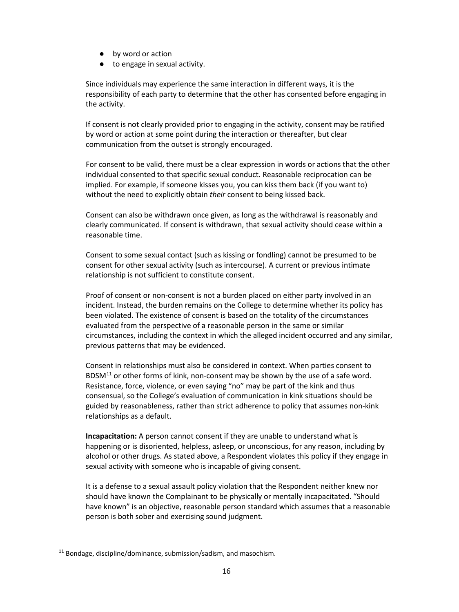- by word or action
- to engage in sexual activity.

Since individuals may experience the same interaction in different ways, it is the responsibility of each party to determine that the other has consented before engaging in the activity.

If consent is not clearly provided prior to engaging in the activity, consent may be ratified by word or action at some point during the interaction or thereafter, but clear communication from the outset is strongly encouraged.

For consent to be valid, there must be a clear expression in words or actions that the other individual consented to that specific sexual conduct. Reasonable reciprocation can be implied. For example, if someone kisses you, you can kiss them back (if you want to) without the need to explicitly obtain *their* consent to being kissed back.

Consent can also be withdrawn once given, as long as the withdrawal is reasonably and clearly communicated. If consent is withdrawn, that sexual activity should cease within a reasonable time.

Consent to some sexual contact (such as kissing or fondling) cannot be presumed to be consent for other sexual activity (such as intercourse). A current or previous intimate relationship is not sufficient to constitute consent.

Proof of consent or non-consent is not a burden placed on either party involved in an incident. Instead, the burden remains on the College to determine whether its policy has been violated. The existence of consent is based on the totality of the circumstances evaluated from the perspective of a reasonable person in the same or similar circumstances, including the context in which the alleged incident occurred and any similar, previous patterns that may be evidenced.

Consent in relationships must also be considered in context. When parties consent to  $BDSM<sup>11</sup>$  $BDSM<sup>11</sup>$  $BDSM<sup>11</sup>$  or other forms of kink, non-consent may be shown by the use of a safe word. Resistance, force, violence, or even saying "no" may be part of the kink and thus consensual, so the College's evaluation of communication in kink situations should be guided by reasonableness, rather than strict adherence to policy that assumes non-kink relationships as a default.

**Incapacitation:** A person cannot consent if they are unable to understand what is happening or is disoriented, helpless, asleep, or unconscious, for any reason, including by alcohol or other drugs. As stated above, a Respondent violates this policy if they engage in sexual activity with someone who is incapable of giving consent.

It is a defense to a sexual assault policy violation that the Respondent neither knew nor should have known the Complainant to be physically or mentally incapacitated. "Should have known" is an objective, reasonable person standard which assumes that a reasonable person is both sober and exercising sound judgment.

<span id="page-16-0"></span> $11$  Bondage, discipline/dominance, submission/sadism, and masochism.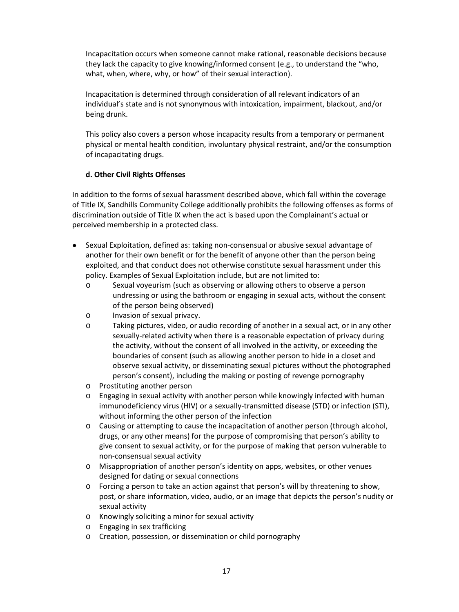Incapacitation occurs when someone cannot make rational, reasonable decisions because they lack the capacity to give knowing/informed consent (e.g., to understand the "who, what, when, where, why, or how" of their sexual interaction).

Incapacitation is determined through consideration of all relevant indicators of an individual's state and is not synonymous with intoxication, impairment, blackout, and/or being drunk.

This policy also covers a person whose incapacity results from a temporary or permanent physical or mental health condition, involuntary physical restraint, and/or the consumption of incapacitating drugs.

# **d. Other Civil Rights Offenses**

In addition to the forms of sexual harassment described above, which fall within the coverage of Title IX, Sandhills Community College additionally prohibits the following offenses as forms of discrimination outside of Title IX when the act is based upon the Complainant's actual or perceived membership in a protected class.

- Sexual Exploitation, defined as: taking non-consensual or abusive sexual advantage of another for their own benefit or for the benefit of anyone other than the person being exploited, and that conduct does not otherwise constitute sexual harassment under this policy. Examples of Sexual Exploitation include, but are not limited to:
	- o Sexual voyeurism (such as observing or allowing others to observe a person undressing or using the bathroom or engaging in sexual acts, without the consent of the person being observed)
	- o Invasion of sexual privacy.
	- o Taking pictures, video, or audio recording of another in a sexual act, or in any other sexually-related activity when there is a reasonable expectation of privacy during the activity, without the consent of all involved in the activity, or exceeding the boundaries of consent (such as allowing another person to hide in a closet and observe sexual activity, or disseminating sexual pictures without the photographed person's consent), including the making or posting of revenge pornography
	- o Prostituting another person
	- o Engaging in sexual activity with another person while knowingly infected with human immunodeficiency virus (HIV) or a sexually-transmitted disease (STD) or infection (STI), without informing the other person of the infection
	- o Causing or attempting to cause the incapacitation of another person (through alcohol, drugs, or any other means) for the purpose of compromising that person's ability to give consent to sexual activity, or for the purpose of making that person vulnerable to non-consensual sexual activity
	- o Misappropriation of another person's identity on apps, websites, or other venues designed for dating or sexual connections
	- o Forcing a person to take an action against that person's will by threatening to show, post, or share information, video, audio, or an image that depicts the person's nudity or sexual activity
	- o Knowingly soliciting a minor for sexual activity
	- o Engaging in sex trafficking
	- o Creation, possession, or dissemination or child pornography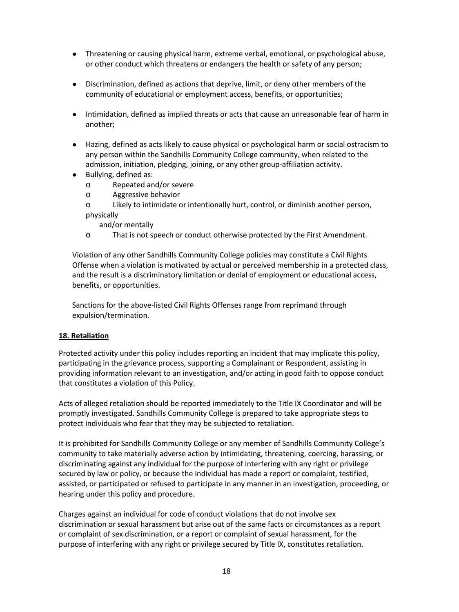- Threatening or causing physical harm, extreme verbal, emotional, or psychological abuse, or other conduct which threatens or endangers the health or safety of any person;
- Discrimination, defined as actions that deprive, limit, or deny other members of the community of educational or employment access, benefits, or opportunities;
- Intimidation, defined as implied threats or acts that cause an unreasonable fear of harm in another;
- Hazing, defined as acts likely to cause physical or psychological harm or social ostracism to any person within the Sandhills Community College community, when related to the admission, initiation, pledging, joining, or any other group-affiliation activity.
- Bullying, defined as:
	- o Repeated and/or severe
	- o Aggressive behavior
	- o Likely to intimidate or intentionally hurt, control, or diminish another person, physically
		- and/or mentally
	- o That is not speech or conduct otherwise protected by the First Amendment.

Violation of any other Sandhills Community College policies may constitute a Civil Rights Offense when a violation is motivated by actual or perceived membership in a protected class, and the result is a discriminatory limitation or denial of employment or educational access, benefits, or opportunities.

Sanctions for the above-listed Civil Rights Offenses range from reprimand through expulsion/termination.

# **18. Retaliation**

Protected activity under this policy includes reporting an incident that may implicate this policy, participating in the grievance process, supporting a Complainant or Respondent, assisting in providing information relevant to an investigation, and/or acting in good faith to oppose conduct that constitutes a violation of this Policy.

Acts of alleged retaliation should be reported immediately to the Title IX Coordinator and will be promptly investigated. Sandhills Community College is prepared to take appropriate steps to protect individuals who fear that they may be subjected to retaliation.

It is prohibited for Sandhills Community College or any member of Sandhills Community College's community to take materially adverse action by intimidating, threatening, coercing, harassing, or discriminating against any individual for the purpose of interfering with any right or privilege secured by law or policy, or because the individual has made a report or complaint, testified, assisted, or participated or refused to participate in any manner in an investigation, proceeding, or hearing under this policy and procedure.

Charges against an individual for code of conduct violations that do not involve sex discrimination or sexual harassment but arise out of the same facts or circumstances as a report or complaint of sex discrimination, or a report or complaint of sexual harassment, for the purpose of interfering with any right or privilege secured by Title IX, constitutes retaliation.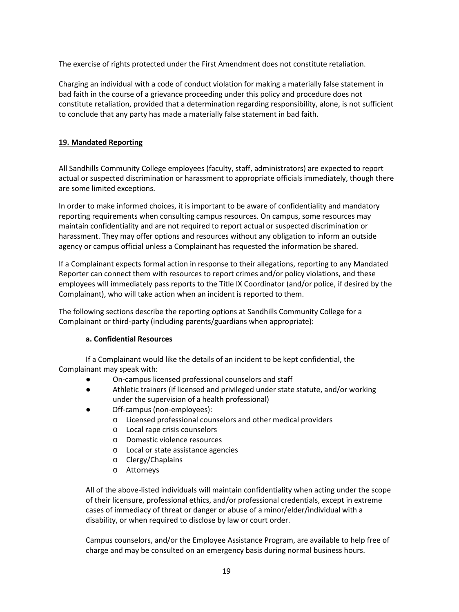The exercise of rights protected under the First Amendment does not constitute retaliation.

Charging an individual with a code of conduct violation for making a materially false statement in bad faith in the course of a grievance proceeding under this policy and procedure does not constitute retaliation, provided that a determination regarding responsibility, alone, is not sufficient to conclude that any party has made a materially false statement in bad faith.

# <span id="page-19-0"></span>**19. Mandated Reporting**

All Sandhills Community College employees (faculty, staff, administrators) are expected to report actual or suspected discrimination or harassment to appropriate officials immediately, though there are some limited exceptions.

In order to make informed choices, it is important to be aware of confidentiality and mandatory reporting requirements when consulting campus resources. On campus, some resources may maintain confidentiality and are not required to report actual or suspected discrimination or harassment. They may offer options and resources without any obligation to inform an outside agency or campus official unless a Complainant has requested the information be shared.

If a Complainant expects formal action in response to their allegations, reporting to any Mandated Reporter can connect them with resources to report crimes and/or policy violations, and these employees will immediately pass reports to the Title IX Coordinator (and/or police, if desired by the Complainant), who will take action when an incident is reported to them.

The following sections describe the reporting options at Sandhills Community College for a Complainant or third-party (including parents/guardians when appropriate):

# **a. Confidential Resources**

If a Complainant would like the details of an incident to be kept confidential, the Complainant may speak with:

- On-campus licensed professional counselors and staff
- Athletic trainers (if licensed and privileged under state statute, and/or working under the supervision of a health professional)
- Off-campus (non-employees):
	- o Licensed professional counselors and other medical providers
	- o Local rape crisis counselors
	- o Domestic violence resources
	- o Local or state assistance agencies
	- o Clergy/Chaplains
	- o Attorneys

All of the above-listed individuals will maintain confidentiality when acting under the scope of their licensure, professional ethics, and/or professional credentials, except in extreme cases of immediacy of threat or danger or abuse of a minor/elder/individual with a disability, or when required to disclose by law or court order.

Campus counselors, and/or the Employee Assistance Program, are available to help free of charge and may be consulted on an emergency basis during normal business hours.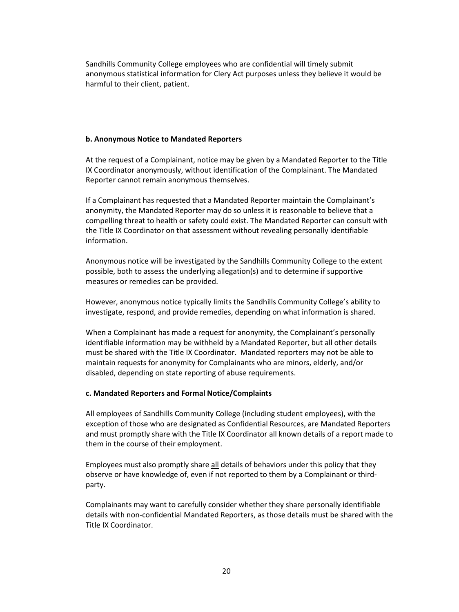Sandhills Community College employees who are confidential will timely submit anonymous statistical information for Clery Act purposes unless they believe it would be harmful to their client, patient.

### **b. Anonymous Notice to Mandated Reporters**

At the request of a Complainant, notice may be given by a Mandated Reporter to the Title IX Coordinator anonymously, without identification of the Complainant. The Mandated Reporter cannot remain anonymous themselves.

If a Complainant has requested that a Mandated Reporter maintain the Complainant's anonymity, the Mandated Reporter may do so unless it is reasonable to believe that a compelling threat to health or safety could exist. The Mandated Reporter can consult with the Title IX Coordinator on that assessment without revealing personally identifiable information.

Anonymous notice will be investigated by the Sandhills Community College to the extent possible, both to assess the underlying allegation(s) and to determine if supportive measures or remedies can be provided.

However, anonymous notice typically limits the Sandhills Community College's ability to investigate, respond, and provide remedies, depending on what information is shared.

When a Complainant has made a request for anonymity, the Complainant's personally identifiable information may be withheld by a Mandated Reporter, but all other details must be shared with the Title IX Coordinator. Mandated reporters may not be able to maintain requests for anonymity for Complainants who are minors, elderly, and/or disabled, depending on state reporting of abuse requirements.

### **c. Mandated Reporters and Formal Notice/Complaints**

All employees of Sandhills Community College (including student employees), with the exception of those who are designated as Confidential Resources, are Mandated Reporters and must promptly share with the Title IX Coordinator all known details of a report made to them in the course of their employment.

Employees must also promptly share all details of behaviors under this policy that they observe or have knowledge of, even if not reported to them by a Complainant or thirdparty.

Complainants may want to carefully consider whether they share personally identifiable details with non-confidential Mandated Reporters, as those details must be shared with the Title IX Coordinator.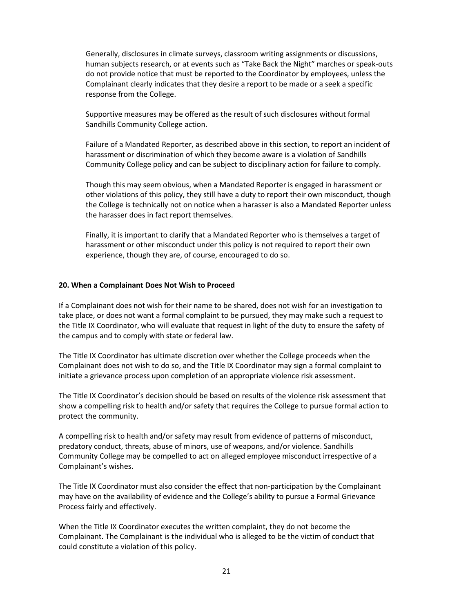Generally, disclosures in climate surveys, classroom writing assignments or discussions, human subjects research, or at events such as "Take Back the Night" marches or speak-outs do not provide notice that must be reported to the Coordinator by employees, unless the Complainant clearly indicates that they desire a report to be made or a seek a specific response from the College.

Supportive measures may be offered as the result of such disclosures without formal Sandhills Community College action.

Failure of a Mandated Reporter, as described above in this section, to report an incident of harassment or discrimination of which they become aware is a violation of Sandhills Community College policy and can be subject to disciplinary action for failure to comply.

Though this may seem obvious, when a Mandated Reporter is engaged in harassment or other violations of this policy, they still have a duty to report their own misconduct, though the College is technically not on notice when a harasser is also a Mandated Reporter unless the harasser does in fact report themselves.

Finally, it is important to clarify that a Mandated Reporter who is themselves a target of harassment or other misconduct under this policy is not required to report their own experience, though they are, of course, encouraged to do so.

### **20. When a Complainant Does Not Wish to Proceed**

If a Complainant does not wish for their name to be shared, does not wish for an investigation to take place, or does not want a formal complaint to be pursued, they may make such a request to the Title IX Coordinator, who will evaluate that request in light of the duty to ensure the safety of the campus and to comply with state or federal law.

The Title IX Coordinator has ultimate discretion over whether the College proceeds when the Complainant does not wish to do so, and the Title IX Coordinator may sign a formal complaint to initiate a grievance process upon completion of an appropriate violence risk assessment.

The Title IX Coordinator's decision should be based on results of the violence risk assessment that show a compelling risk to health and/or safety that requires the College to pursue formal action to protect the community.

A compelling risk to health and/or safety may result from evidence of patterns of misconduct, predatory conduct, threats, abuse of minors, use of weapons, and/or violence. Sandhills Community College may be compelled to act on alleged employee misconduct irrespective of a Complainant's wishes.

The Title IX Coordinator must also consider the effect that non-participation by the Complainant may have on the availability of evidence and the College's ability to pursue a Formal Grievance Process fairly and effectively.

When the Title IX Coordinator executes the written complaint, they do not become the Complainant. The Complainant is the individual who is alleged to be the victim of conduct that could constitute a violation of this policy.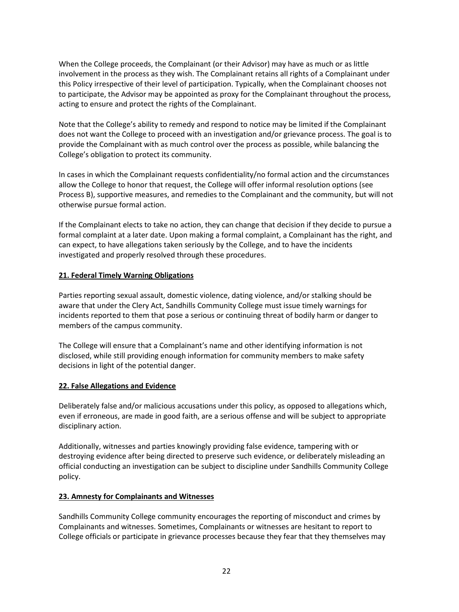When the College proceeds, the Complainant (or their Advisor) may have as much or as little involvement in the process as they wish. The Complainant retains all rights of a Complainant under this Policy irrespective of their level of participation. Typically, when the Complainant chooses not to participate, the Advisor may be appointed as proxy for the Complainant throughout the process, acting to ensure and protect the rights of the Complainant.

Note that the College's ability to remedy and respond to notice may be limited if the Complainant does not want the College to proceed with an investigation and/or grievance process. The goal is to provide the Complainant with as much control over the process as possible, while balancing the College's obligation to protect its community.

In cases in which the Complainant requests confidentiality/no formal action and the circumstances allow the College to honor that request, the College will offer informal resolution options (see Process B), supportive measures, and remedies to the Complainant and the community, but will not otherwise pursue formal action.

If the Complainant elects to take no action, they can change that decision if they decide to pursue a formal complaint at a later date. Upon making a formal complaint, a Complainant has the right, and can expect, to have allegations taken seriously by the College, and to have the incidents investigated and properly resolved through these procedures.

# **21. Federal Timely Warning Obligations**

Parties reporting sexual assault, domestic violence, dating violence, and/or stalking should be aware that under the Clery Act, Sandhills Community College must issue timely warnings for incidents reported to them that pose a serious or continuing threat of bodily harm or danger to members of the campus community.

The College will ensure that a Complainant's name and other identifying information is not disclosed, while still providing enough information for community members to make safety decisions in light of the potential danger.

# **22. False Allegations and Evidence**

Deliberately false and/or malicious accusations under this policy, as opposed to allegations which, even if erroneous, are made in good faith, are a serious offense and will be subject to appropriate disciplinary action.

Additionally, witnesses and parties knowingly providing false evidence, tampering with or destroying evidence after being directed to preserve such evidence, or deliberately misleading an official conducting an investigation can be subject to discipline under Sandhills Community College policy.

# **23. Amnesty for Complainants and Witnesses**

Sandhills Community College community encourages the reporting of misconduct and crimes by Complainants and witnesses. Sometimes, Complainants or witnesses are hesitant to report to College officials or participate in grievance processes because they fear that they themselves may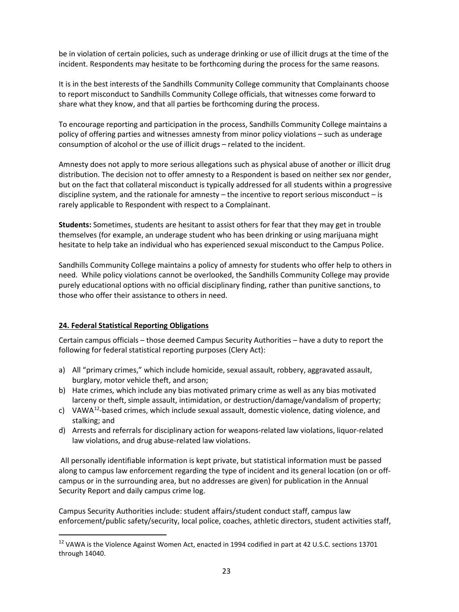be in violation of certain policies, such as underage drinking or use of illicit drugs at the time of the incident. Respondents may hesitate to be forthcoming during the process for the same reasons.

It is in the best interests of the Sandhills Community College community that Complainants choose to report misconduct to Sandhills Community College officials, that witnesses come forward to share what they know, and that all parties be forthcoming during the process.

To encourage reporting and participation in the process, Sandhills Community College maintains a policy of offering parties and witnesses amnesty from minor policy violations – such as underage consumption of alcohol or the use of illicit drugs – related to the incident.

Amnesty does not apply to more serious allegations such as physical abuse of another or illicit drug distribution. The decision not to offer amnesty to a Respondent is based on neither sex nor gender, but on the fact that collateral misconduct is typically addressed for all students within a progressive discipline system, and the rationale for amnesty – the incentive to report serious misconduct – is rarely applicable to Respondent with respect to a Complainant.

**Students:** Sometimes, students are hesitant to assist others for fear that they may get in trouble themselves (for example, an underage student who has been drinking or using marijuana might hesitate to help take an individual who has experienced sexual misconduct to the Campus Police.

Sandhills Community College maintains a policy of amnesty for students who offer help to others in need. While policy violations cannot be overlooked, the Sandhills Community College may provide purely educational options with no official disciplinary finding, rather than punitive sanctions, to those who offer their assistance to others in need.

# **24. Federal Statistical Reporting Obligations**

Certain campus officials – those deemed Campus Security Authorities – have a duty to report the following for federal statistical reporting purposes (Clery Act):

- a) All "primary crimes," which include homicide, sexual assault, robbery, aggravated assault, burglary, motor vehicle theft, and arson;
- b) Hate crimes, which include any bias motivated primary crime as well as any bias motivated larceny or theft, simple assault, intimidation, or destruction/damage/vandalism of property;
- c) VAWA<sup>12</sup>-based crimes, which include sexual assault, domestic violence, dating violence, and stalking; and
- d) Arrests and referrals for disciplinary action for weapons-related law violations, liquor-related law violations, and drug abuse-related law violations.

All personally identifiable information is kept private, but statistical information must be passed along to campus law enforcement regarding the type of incident and its general location (on or offcampus or in the surrounding area, but no addresses are given) for publication in the Annual Security Report and daily campus crime log.

Campus Security Authorities include: student affairs/student conduct staff, campus law enforcement/public safety/security, local police, coaches, athletic directors, student activities staff,

<span id="page-23-0"></span><sup>&</sup>lt;sup>12</sup> VAWA is the Violence Against Women Act, enacted in 1994 codified in part at 42 U.S.C. sections 13701 through 14040.